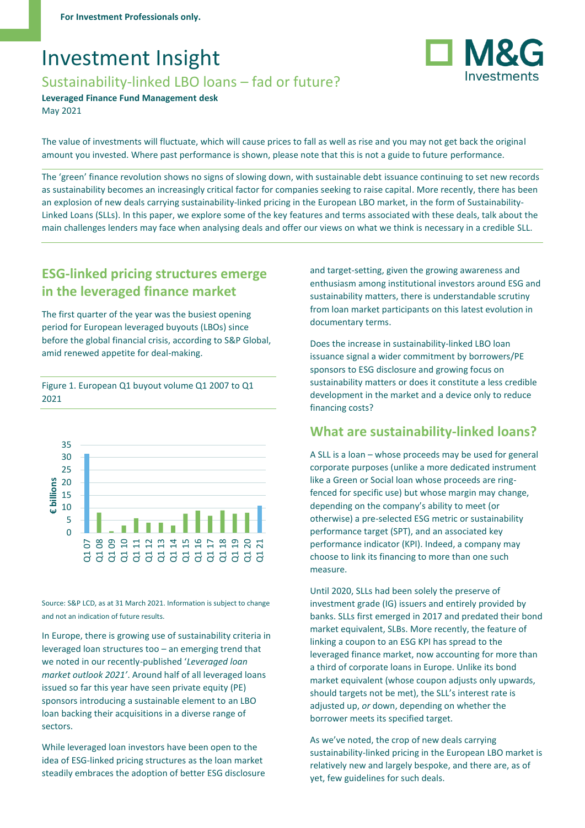# Investment Insight

## Sustainability-linked LBO loans – fad or future?

**Leveraged Finance Fund Management desk** May 2021

The value of investments will fluctuate, which will cause prices to fall as well as rise and you may not get back the original amount you invested. Where past performance is shown, please note that this is not a guide to future performance.

The 'green' finance revolution shows no signs of slowing down, with sustainable debt issuance continuing to set new records as sustainability becomes an increasingly critical factor for companies seeking to raise capital. More recently, there has been an explosion of new deals carrying sustainability-linked pricing in the European LBO market, in the form of Sustainability-Linked Loans (SLLs). In this paper, we explore some of the key features and terms associated with these deals, talk about the main challenges lenders may face when analysing deals and offer our views on what we think is necessary in a credible SLL.

# **ESG-linked pricing structures emerge in the leveraged finance market**

The first quarter of the year was the busiest opening period for European leveraged buyouts (LBOs) since before the global financial crisis, according to S&P Global, amid renewed appetite for deal-making.

Figure 1. European Q1 buyout volume Q1 2007 to Q1 2021



Source: S&P LCD, as at 31 March 2021. Information is subject to change and not an indication of future results.

In Europe, there is growing use of sustainability criteria in leveraged loan structures too – an emerging trend that we noted in our recently-published '*Leveraged loan market outlook 2021'*. Around half of all leveraged loans issued so far this year have seen private equity (PE) sponsors introducing a sustainable element to an LBO loan backing their acquisitions in a diverse range of sectors.

While leveraged loan investors have been open to the idea of ESG-linked pricing structures as the loan market steadily embraces the adoption of better ESG disclosure and target-setting, given the growing awareness and enthusiasm among institutional investors around ESG and sustainability matters, there is understandable scrutiny from loan market participants on this latest evolution in documentary terms.

Does the increase in sustainability-linked LBO loan issuance signal a wider commitment by borrowers/PE sponsors to ESG disclosure and growing focus on sustainability matters or does it constitute a less credible development in the market and a device only to reduce financing costs?

### **What are sustainability-linked loans?**

A SLL is a loan – whose proceeds may be used for general corporate purposes (unlike a more dedicated instrument like a Green or Social loan whose proceeds are ringfenced for specific use) but whose margin may change, depending on the company's ability to meet (or otherwise) a pre-selected ESG metric or sustainability performance target (SPT), and an associated key performance indicator (KPI). Indeed, a company may choose to link its financing to more than one such measure.

Until 2020, SLLs had been solely the preserve of investment grade (IG) issuers and entirely provided by banks. SLLs first emerged in 2017 and predated their bond market equivalent, SLBs. More recently, the feature of linking a coupon to an ESG KPI has spread to the leveraged finance market, now accounting for more than a third of corporate loans in Europe. Unlike its bond market equivalent (whose coupon adjusts only upwards, should targets not be met), the SLL's interest rate is adjusted up, *or* down, depending on whether the borrower meets its specified target.

As we've noted, the crop of new deals carrying sustainability-linked pricing in the European LBO market is relatively new and largely bespoke, and there are, as of yet, few guidelines for such deals.

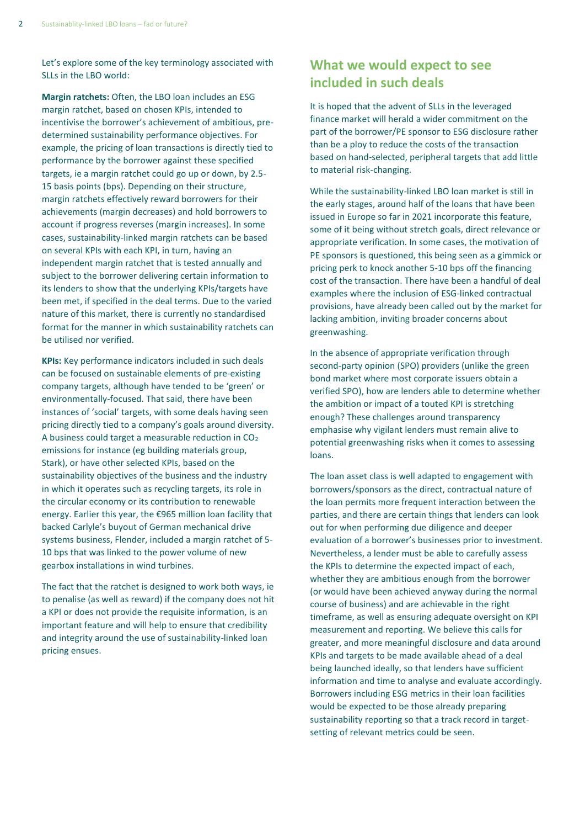Let's explore some of the key terminology associated with SLLs in the LBO world:

**Margin ratchets:** Often, the LBO loan includes an ESG margin ratchet, based on chosen KPIs, intended to incentivise the borrower's achievement of ambitious, predetermined sustainability performance objectives. For example, the pricing of loan transactions is directly tied to performance by the borrower against these specified targets, ie a margin ratchet could go up or down, by 2.5- 15 basis points (bps). Depending on their structure, margin ratchets effectively reward borrowers for their achievements (margin decreases) and hold borrowers to account if progress reverses (margin increases). In some cases, sustainability-linked margin ratchets can be based on several KPIs with each KPI, in turn, having an independent margin ratchet that is tested annually and subject to the borrower delivering certain information to its lenders to show that the underlying KPIs/targets have been met, if specified in the deal terms. Due to the varied nature of this market, there is currently no standardised format for the manner in which sustainability ratchets can be utilised nor verified.

**KPIs:** Key performance indicators included in such deals can be focused on sustainable elements of pre-existing company targets, although have tended to be 'green' or environmentally-focused. That said, there have been instances of 'social' targets, with some deals having seen pricing directly tied to a company's goals around diversity. A business could target a measurable reduction in CO<sup>2</sup> emissions for instance (eg building materials group, Stark), or have other selected KPIs, based on the sustainability objectives of the business and the industry in which it operates such as recycling targets, its role in the circular economy or its contribution to renewable energy. Earlier this year, the €965 million loan facility that backed Carlyle's buyout of German mechanical drive systems business, Flender, included a margin ratchet of 5- 10 bps that was linked to the power volume of new gearbox installations in wind turbines.

The fact that the ratchet is designed to work both ways, ie to penalise (as well as reward) if the company does not hit a KPI or does not provide the requisite information, is an important feature and will help to ensure that credibility and integrity around the use of sustainability-linked loan pricing ensues.

## **What we would expect to see included in such deals**

It is hoped that the advent of SLLs in the leveraged finance market will herald a wider commitment on the part of the borrower/PE sponsor to ESG disclosure rather than be a ploy to reduce the costs of the transaction based on hand-selected, peripheral targets that add little to material risk-changing.

While the sustainability-linked LBO loan market is still in the early stages, around half of the loans that have been issued in Europe so far in 2021 incorporate this feature, some of it being without stretch goals, direct relevance or appropriate verification. In some cases, the motivation of PE sponsors is questioned, this being seen as a gimmick or pricing perk to knock another 5-10 bps off the financing cost of the transaction. There have been a handful of deal examples where the inclusion of ESG-linked contractual provisions, have already been called out by the market for lacking ambition, inviting broader concerns about greenwashing.

In the absence of appropriate verification through second-party opinion (SPO) providers (unlike the green bond market where most corporate issuers obtain a verified SPO), how are lenders able to determine whether the ambition or impact of a touted KPI is stretching enough? These challenges around transparency emphasise why vigilant lenders must remain alive to potential greenwashing risks when it comes to assessing loans.

The loan asset class is well adapted to engagement with borrowers/sponsors as the direct, contractual nature of the loan permits more frequent interaction between the parties, and there are certain things that lenders can look out for when performing due diligence and deeper evaluation of a borrower's businesses prior to investment. Nevertheless, a lender must be able to carefully assess the KPIs to determine the expected impact of each, whether they are ambitious enough from the borrower (or would have been achieved anyway during the normal course of business) and are achievable in the right timeframe, as well as ensuring adequate oversight on KPI measurement and reporting. We believe this calls for greater, and more meaningful disclosure and data around KPIs and targets to be made available ahead of a deal being launched ideally, so that lenders have sufficient information and time to analyse and evaluate accordingly. Borrowers including ESG metrics in their loan facilities would be expected to be those already preparing sustainability reporting so that a track record in targetsetting of relevant metrics could be seen.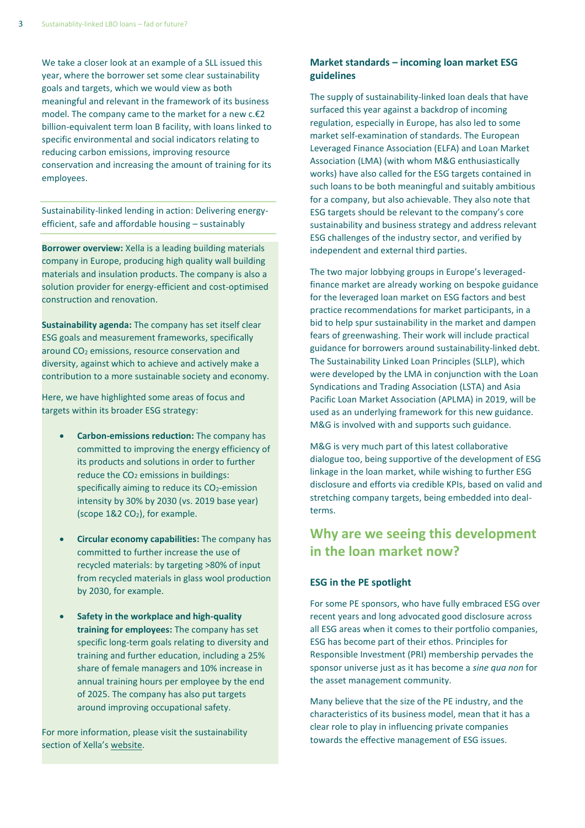We take a closer look at an example of a SLL issued this year, where the borrower set some clear sustainability goals and targets, which we would view as both meaningful and relevant in the framework of its business model. The company came to the market for a new c.€2 billion-equivalent term loan B facility, with loans linked to specific environmental and social indicators relating to reducing carbon emissions, improving resource conservation and increasing the amount of training for its employees.

Sustainability-linked lending in action: Delivering energyefficient, safe and affordable housing – sustainably

**Borrower overview:** Xella is a leading building materials company in Europe, producing high quality wall building materials and insulation products. The company is also a solution provider for energy-efficient and cost-optimised construction and renovation.

**Sustainability agenda:** The company has set itself clear ESG goals and measurement frameworks, specifically around CO<sup>2</sup> emissions, resource conservation and diversity, against which to achieve and actively make a contribution to a more sustainable society and economy.

Here, we have highlighted some areas of focus and targets within its broader ESG strategy:

- **Carbon-emissions reduction:** The company has committed to improving the energy efficiency of its products and solutions in order to further reduce the CO<sub>2</sub> emissions in buildings: specifically aiming to reduce its CO<sub>2</sub>-emission intensity by 30% by 2030 (vs. 2019 base year) (scope 1&2 CO2), for example.
- **Circular economy capabilities:** The company has committed to further increase the use of recycled materials: by targeting >80% of input from recycled materials in glass wool production by 2030, for example.
- **Safety in the workplace and high-quality training for employees:** The company has set specific long-term goals relating to diversity and training and further education, including a 25% share of female managers and 10% increase in annual training hours per employee by the end of 2025. The company has also put targets around improving occupational safety.

For more information, please visit the sustainability section of Xella's [website.](https://news.xella.com/themes/sustainability)

### **Market standards – incoming loan market ESG guidelines**

The supply of sustainability-linked loan deals that have surfaced this year against a backdrop of incoming regulation, especially in Europe, has also led to some market self-examination of standards. The European Leveraged Finance Association (ELFA) and Loan Market Association (LMA) (with whom M&G enthusiastically works) have also called for the ESG targets contained in such loans to be both meaningful and suitably ambitious for a company, but also achievable. They also note that ESG targets should be relevant to the company's core sustainability and business strategy and address relevant ESG challenges of the industry sector, and verified by independent and external third parties.

The two major lobbying groups in Europe's leveragedfinance market are already working on bespoke guidance for the leveraged loan market on ESG factors and best practice recommendations for market participants, in a bid to help spur sustainability in the market and dampen fears of greenwashing. Their work will include practical guidance for borrowers around sustainability-linked debt. The Sustainability Linked Loan Principles (SLLP), which were developed by the LMA in conjunction with the Loan Syndications and Trading Association (LSTA) and Asia Pacific Loan Market Association (APLMA) in 2019, will be used as an underlying framework for this new guidance. M&G is involved with and supports such guidance.

M&G is very much part of this latest collaborative dialogue too, being supportive of the development of ESG linkage in the loan market, while wishing to further ESG disclosure and efforts via credible KPIs, based on valid and stretching company targets, being embedded into dealterms.

## **Why are we seeing this development in the loan market now?**

### **ESG in the PE spotlight**

For some PE sponsors, who have fully embraced ESG over recent years and long advocated good disclosure across all ESG areas when it comes to their portfolio companies, ESG has become part of their ethos. Principles for Responsible Investment (PRI) membership pervades the sponsor universe just as it has become a *sine qua non* for the asset management community.

Many believe that the size of the PE industry, and the characteristics of its business model, mean that it has a clear role to play in influencing private companies towards the effective management of ESG issues.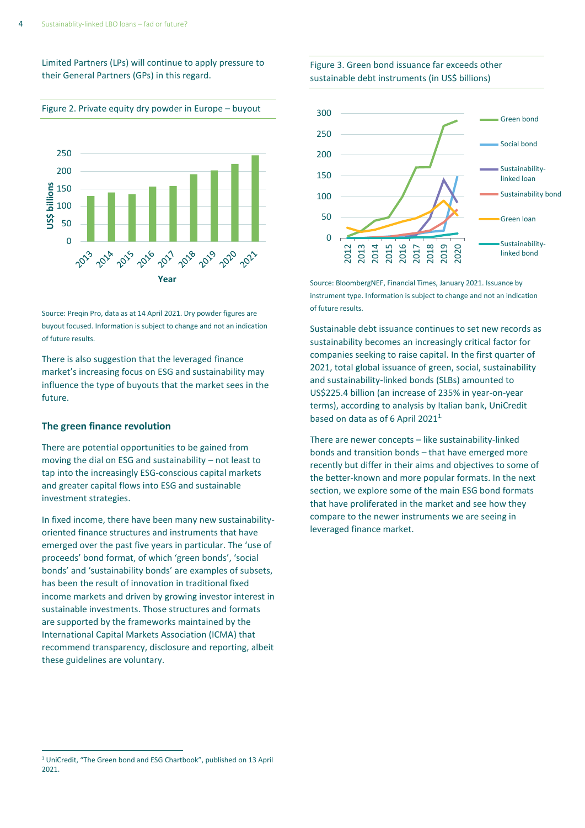Limited Partners (LPs) will continue to apply pressure to their General Partners (GPs) in this regard.



Source: Preqin Pro, data as at 14 April 2021. Dry powder figures are buyout focused. Information is subject to change and not an indication of future results.

There is also suggestion that the leveraged finance market's increasing focus on ESG and sustainability may influence the type of buyouts that the market sees in the future.

#### **The green finance revolution**

There are potential opportunities to be gained from moving the dial on ESG and sustainability – not least to tap into the increasingly ESG-conscious capital markets and greater capital flows into ESG and sustainable investment strategies.

In fixed income, there have been many new sustainabilityoriented finance structures and instruments that have emerged over the past five years in particular. The 'use of proceeds' bond format, of which 'green bonds', 'social bonds' and 'sustainability bonds' are examples of subsets, has been the result of innovation in traditional fixed income markets and driven by growing investor interest in sustainable investments. Those structures and formats are supported by the [frameworks maintained by the](https://www.icmagroup.org/sustainable-finance/the-principles-guidelines-and-handbooks/)  [International Capital Markets Association \(ICMA\)](https://www.icmagroup.org/sustainable-finance/the-principles-guidelines-and-handbooks/) that recommend transparency, disclosure and reporting, albeit these guidelines are voluntary.





Source: BloombergNEF, Financial Times, January 2021. Issuance by instrument type. Information is subject to change and not an indication of future results.

Sustainable debt issuance continues to set new records as sustainability becomes an increasingly critical factor for companies seeking to raise capital. In the first quarter of 2021, total global issuance of green, social, sustainability and sustainability-linked bonds (SLBs) amounted to US\$225.4 billion (an increase of 235% in year-on-year terms), according to analysis by Italian bank, UniCredit based on data as of 6 April 2021<sup>1.</sup>

There are newer concepts – like sustainability-linked bonds and transition bonds – that have emerged more recently but differ in their aims and objectives to some of the better-known and more popular formats. In the next section, we explore some of the main ESG bond formats that have proliferated in the market and see how they compare to the newer instruments we are seeing in leveraged finance market.

<sup>1</sup> UniCredit, "The Green bond and ESG Chartbook", published on 13 April 2021.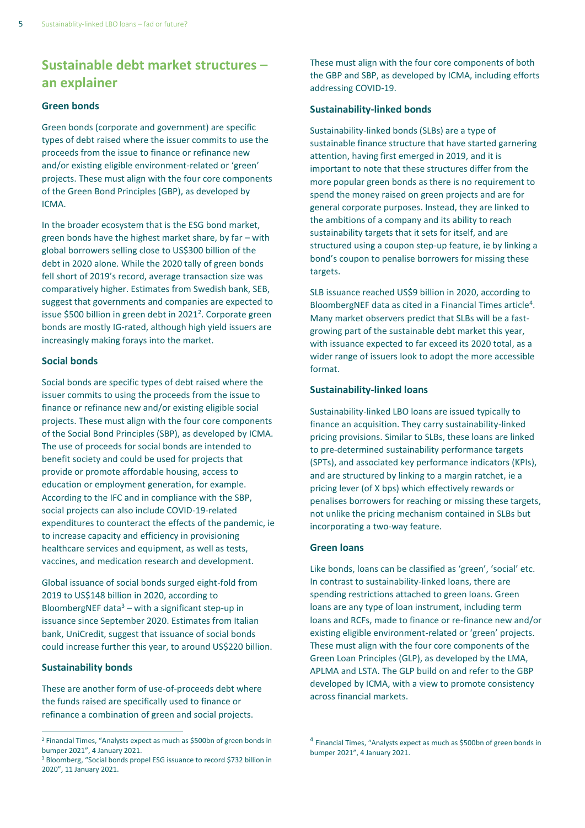# **Sustainable debt market structures – an explainer**

#### **Green bonds**

Green bonds (corporate and government) are specific types of debt raised where the issuer commits to use the proceeds from the issue to finance or refinance new and/or existing eligible environment-related or 'green' projects. These must align with the four core components of the Green Bond Principles (GBP), as developed by ICMA.

In the broader ecosystem that is the ESG bond market, green bonds have the highest market share, by far – with global borrowers selling close to US\$300 billion of the debt in 2020 alone. While the 2020 tally of green bonds fell short of 2019's record, average transaction size was comparatively higher. Estimates from Swedish bank, SEB, suggest that governments and companies are expected to issue \$500 billion in green debt in 2021<sup>2</sup>. Corporate green bonds are mostly IG-rated, although high yield issuers are increasingly making forays into the market.

#### **Social bonds**

Social bonds are specific types of debt raised where the issuer commits to using the proceeds from the issue to finance or refinance new and/or existing eligible social projects. These must align with the four core components of the Social Bond Principles (SBP), as developed by ICMA. The use of proceeds for social bonds are intended to benefit society and could be used for projects that provide or promote affordable housing, access to education or employment generation, for example. According to the IFC and in compliance with the SBP, social projects can also include COVID-19-related expenditures to counteract the effects of the pandemic, ie to increase capacity and efficiency in provisioning healthcare services and equipment, as well as tests, vaccines, and medication research and development.

Global issuance of social bonds surged eight-fold from 2019 to US\$148 billion in 2020, according to BloombergNEF data $3$  – with a significant step-up in issuance since September 2020. Estimates from Italian bank, UniCredit, suggest that issuance of social bonds could increase further this year, to around US\$220 billion.

#### **Sustainability bonds**

These are another form of use-of-proceeds debt where the funds raised are specifically used to finance or refinance a combination of green and social projects.

These must align with the four core components of both the GBP and SBP, as developed by ICMA, including efforts addressing COVID-19.

#### **Sustainability-linked bonds**

Sustainability-linked bonds (SLBs) are a type of sustainable finance structure that have started garnering attention, having first emerged in 2019, and it is important to note that these structures differ from the more popular green bonds as there is no requirement to spend the money raised on green projects and are for general corporate purposes. Instead, they are linked to the ambitions of a company and its ability to reach sustainability targets that it sets for itself, and are structured using a coupon step-up feature, ie by linking a bond's coupon to penalise borrowers for missing these targets.

SLB issuance reached US\$9 billion in 2020, according to BloombergNEF data as cited in a Financial Times article<sup>4</sup>. Many market observers predict that SLBs will be a fastgrowing part of the sustainable debt market this year, with issuance expected to far exceed its 2020 total, as a wider range of issuers look to adopt the more accessible format.

#### **Sustainability-linked loans**

Sustainability-linked LBO loans are issued typically to finance an acquisition. They carry sustainability-linked pricing provisions. Similar to SLBs, these loans are linked to pre-determined sustainability performance targets (SPTs), and associated key performance indicators (KPIs), and are structured by linking to a margin ratchet, ie a pricing lever (of X bps) which effectively rewards or penalises borrowers for reaching or missing these targets, not unlike the pricing mechanism contained in SLBs but incorporating a two-way feature.

#### **Green loans**

Like bonds, loans can be classified as 'green', 'social' etc. In contrast to sustainability-linked loans, there are spending restrictions attached to green loans. Green loans are any type of loan instrument, including term loans and RCFs, made to finance or re-finance new and/or existing eligible environment-related or 'green' projects. These must align with the four core components of the Green Loan Principles (GLP), as developed by the LMA, APLMA and LSTA. The GLP build on and refer to the GBP developed by ICMA, with a view to promote consistency across financial markets.

<sup>2</sup> Financial Times, "[Analysts expect as much as \\$500bn of green bonds in](https://www.ft.com/content/021329aa-b0bd-4183-8559-0f3260b73d62)  [bumper 2021](https://www.ft.com/content/021329aa-b0bd-4183-8559-0f3260b73d62)", 4 January 2021.

<sup>3</sup> Bloomberg, "[Social bonds propel ESG issuance to record \\$732 billion in](https://www.bloomberg.com/news/articles/2021-01-11/social-bonds-propel-esg-issuance-to-record-732-billion-in-2020)  [2020](https://www.bloomberg.com/news/articles/2021-01-11/social-bonds-propel-esg-issuance-to-record-732-billion-in-2020)", 11 January 2021.

<sup>&</sup>lt;sup>4</sup> Financial Times, "Analysts expect as much as \$500bn of green bonds in [bumper 2021](https://www.ft.com/content/021329aa-b0bd-4183-8559-0f3260b73d62)", 4 January 2021.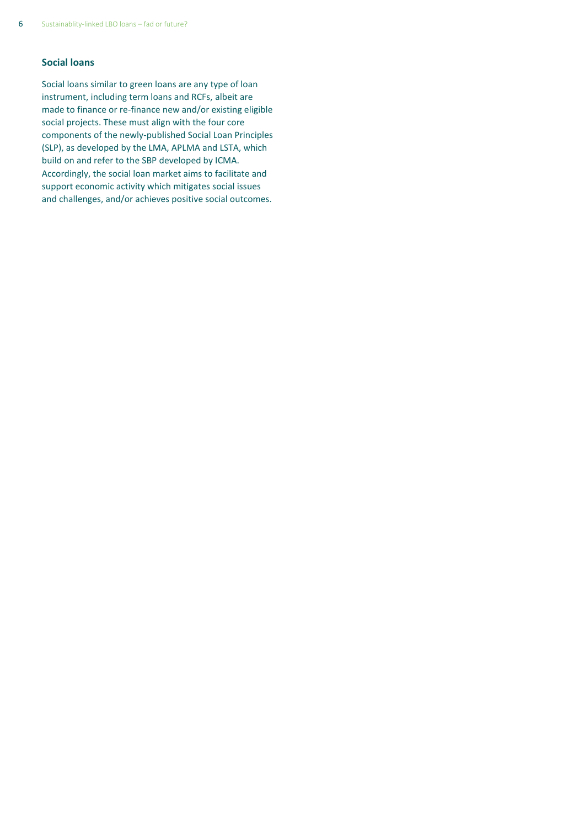### **Social loans**

Social loans similar to green loans are any type of loan instrument, including term loans and RCFs, albeit are made to finance or re-finance new and/or existing eligible social projects. These must align with the four core components of the newly-published Social Loan Principles (SLP), as developed by the LMA, APLMA and LSTA, which build on and refer to the SBP developed by ICMA. Accordingly, the social loan market aims to facilitate and support economic activity which mitigates social issues and challenges, and/or achieves positive social outcomes.